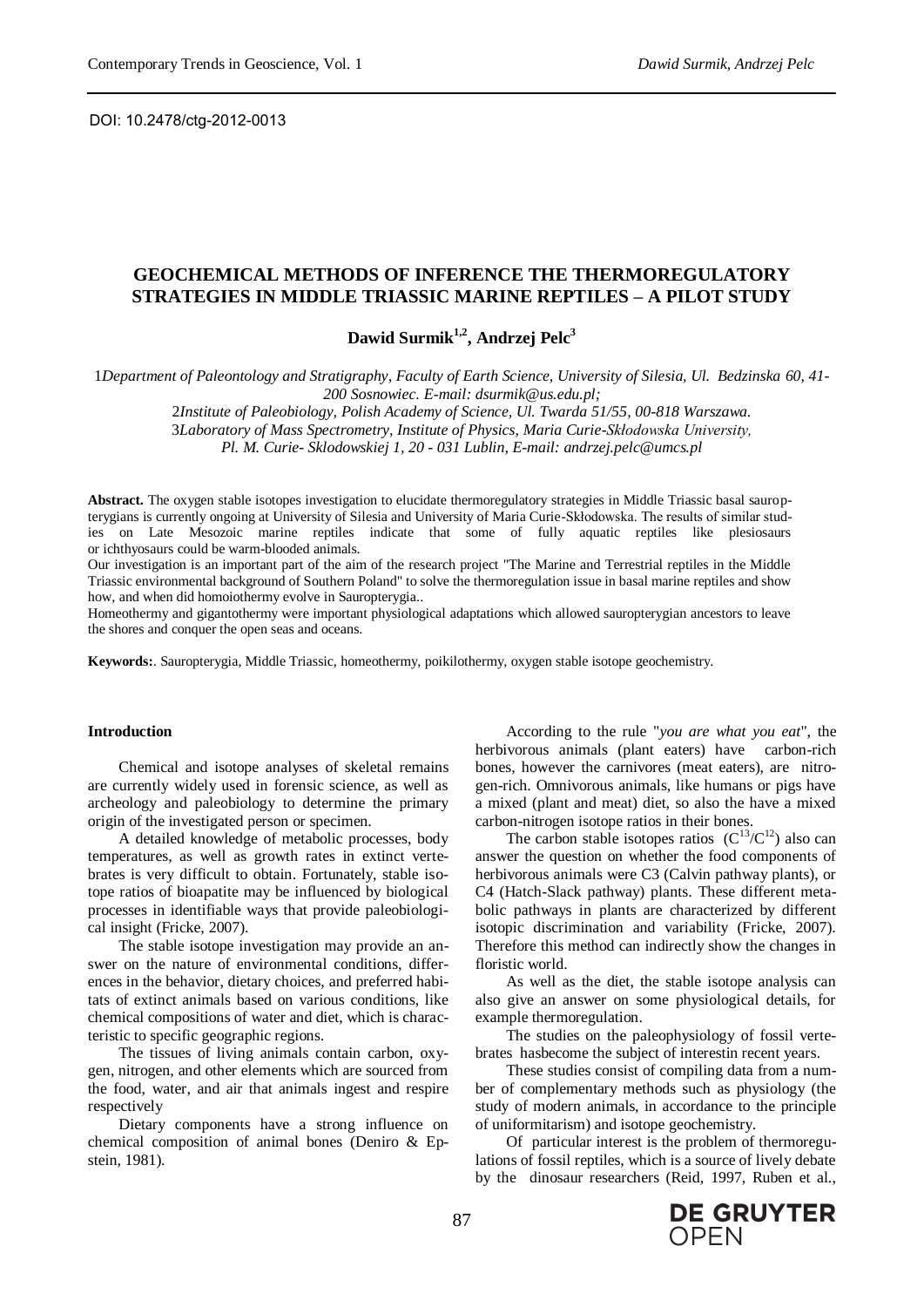DOI: 10.2478/ctg-2012-0013

# **GEOCHEMICAL METHODS OF INFERENCE THE THERMOREGULATORY STRATEGIES IN MIDDLE TRIASSIC MARINE REPTILES – A PILOT STUDY**

**Dawid Surmik1,2, Andrzej Pelc<sup>3</sup>**

1*Department of Paleontology and Stratigraphy, Faculty of Earth Science, University of Silesia, Ul. Bedzinska 60, 41- 200 Sosnowiec. E-mail: dsurmik@us.edu.pl;*

2*Institute of Paleobiology, Polish Academy of Science, Ul. Twarda 51/55, 00-818 Warszawa.*

3*Laboratory of Mass Spectrometry, Institute of Physics, Maria Curie-Skłodowska University,*

*Pl. M. Curie- Sklodowskiej 1, 20 - 031 Lublin, E-mail: andrzej.pelc@umcs.pl*

**Abstract.** The oxygen stable isotopes investigation to elucidate thermoregulatory strategies in Middle Triassic basal sauropterygians is currently ongoing at University of Silesia and University of Maria Curie-Skłodowska. The results of similar studies on Late Mesozoic marine reptiles indicate that some of fully aquatic reptiles like plesiosaurs or ichthyosaurs could be warm-blooded animals.

Our investigation is an important part of the aim of the research project "The Marine and Terrestrial reptiles in the Middle Triassic environmental background of Southern Poland" to solve the thermoregulation issue in basal marine reptiles and show how, and when did homoiothermy evolve in Sauropterygia..

Homeothermy and gigantothermy were important physiological adaptations which allowed sauropterygian ancestors to leave the shores and conquer the open seas and oceans.

**Keywords:**. Sauropterygia, Middle Triassic, homeothermy, poikilothermy, oxygen stable isotope geochemistry.

### **Introduction**

Chemical and isotope analyses of skeletal remains are currently widely used in forensic science, as well as archeology and paleobiology to determine the primary origin of the investigated person or specimen.

A detailed knowledge of metabolic processes, body temperatures, as well as growth rates in extinct vertebrates is very difficult to obtain. Fortunately, stable isotope ratios of bioapatite may be influenced by biological processes in identifiable ways that provide paleobiological insight (Fricke, 2007).

The stable isotope investigation may provide an answer on the nature of environmental conditions, differences in the behavior, dietary choices, and preferred habitats of extinct animals based on various conditions, like chemical compositions of water and diet, which is characteristic to specific geographic regions.

The tissues of living animals contain carbon, oxygen, nitrogen, and other elements which are sourced from the food, water, and air that animals ingest and respire respectively

Dietary components have a strong influence on chemical composition of animal bones (Deniro & Epstein, 1981).

According to the rule "*you are what you eat*", the herbivorous animals (plant eaters) have carbon-rich bones, however the carnivores (meat eaters), are nitrogen-rich. Omnivorous animals, like humans or pigs have a mixed (plant and meat) diet, so also the have a mixed carbon-nitrogen isotope ratios in their bones.

The carbon stable isotopes ratios  $(C^{13}/C^{12})$  also can answer the question on whether the food components of herbivorous animals were C3 (Calvin pathway plants), or C4 (Hatch-Slack pathway) plants. These different metabolic pathways in plants are characterized by different isotopic discrimination and variability (Fricke, 2007). Therefore this method can indirectly show the changes in floristic world.

As well as the diet, the stable isotope analysis can also give an answer on some physiological details, for example thermoregulation.

The studies on the paleophysiology of fossil vertebrates hasbecome the subject of interestin recent years.

These studies consist of compiling data from a number of complementary methods such as physiology (the study of modern animals, in accordance to the principle of uniformitarism) and isotope geochemistry.

Of particular interest is the problem of thermoregulations of fossil reptiles, which is a source of lively debate by the dinosaur researchers (Reid, 1997, Ruben et al.,

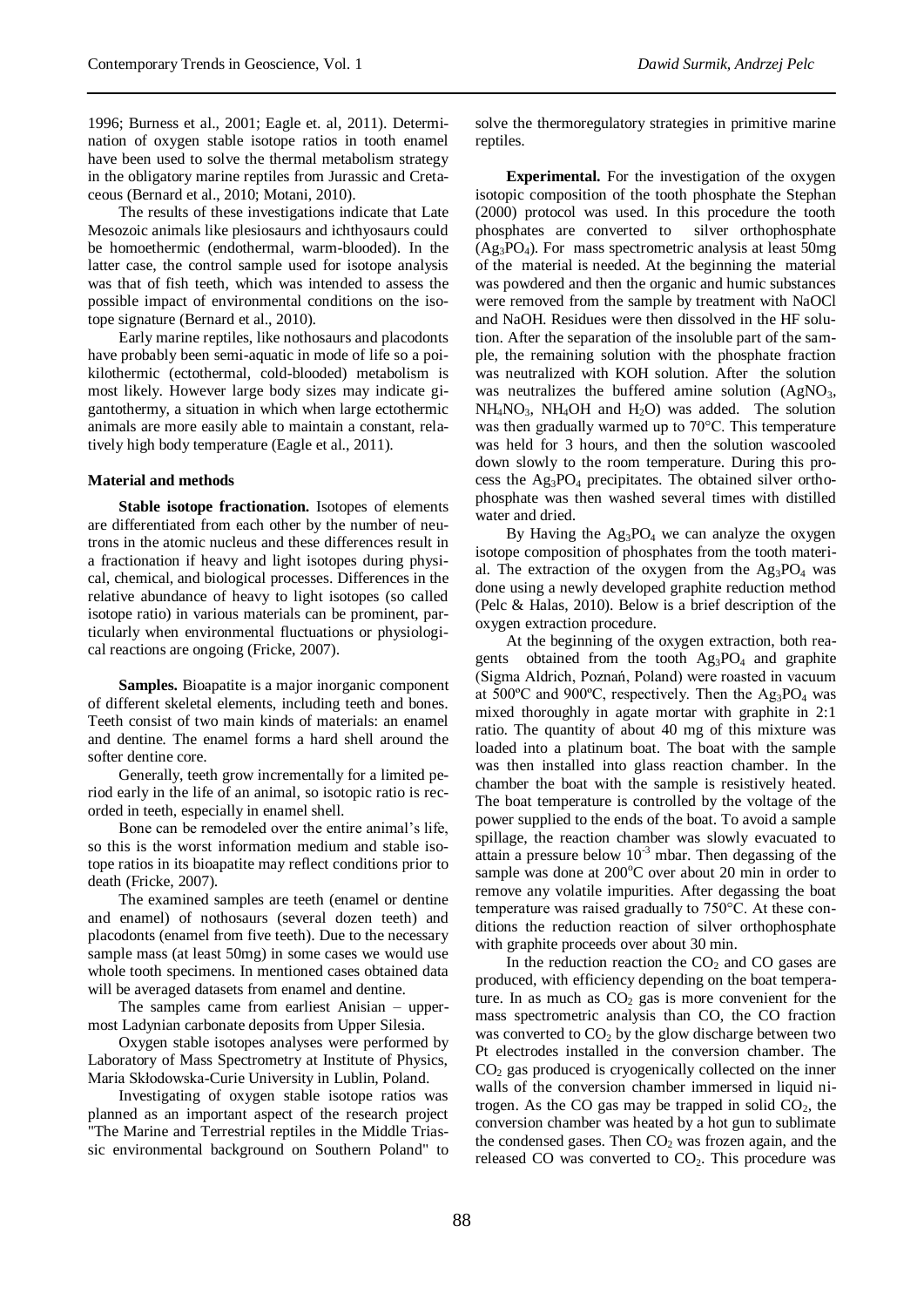1996; Burness et al., 2001; Eagle et. al, 2011). Determination of oxygen stable isotope ratios in tooth enamel have been used to solve the thermal metabolism strategy in the obligatory marine reptiles from Jurassic and Cretaceous (Bernard et al., 2010; Motani, 2010).

The results of these investigations indicate that Late Mesozoic animals like plesiosaurs and ichthyosaurs could be homoethermic (endothermal, warm-blooded). In the latter case, the control sample used for isotope analysis was that of fish teeth, which was intended to assess the possible impact of environmental conditions on the isotope signature (Bernard et al., 2010).

Early marine reptiles, like nothosaurs and placodonts have probably been semi-aquatic in mode of life so a poikilothermic (ectothermal, cold-blooded) metabolism is most likely. However large body sizes may indicate gigantothermy, a situation in which when large ectothermic animals are more easily able to maintain a constant, relatively high body temperature (Eagle et al., 2011).

### **Material and methods**

**Stable isotope fractionation.** Isotopes of elements are differentiated from each other by the number of neutrons in the atomic nucleus and these differences result in a fractionation if heavy and light isotopes during physical, chemical, and biological processes. Differences in the relative abundance of heavy to light isotopes (so called isotope ratio) in various materials can be prominent, particularly when environmental fluctuations or physiological reactions are ongoing (Fricke, 2007).

**Samples.** Bioapatite is a major inorganic component of different skeletal elements, including teeth and bones. Teeth consist of two main kinds of materials: an enamel and dentine. The enamel forms a hard shell around the softer dentine core.

Generally, teeth grow incrementally for a limited period early in the life of an animal, so isotopic ratio is recorded in teeth, especially in enamel shell.

Bone can be remodeled over the entire animal's life, so this is the worst information medium and stable isotope ratios in its bioapatite may reflect conditions prior to death (Fricke, 2007).

The examined samples are teeth (enamel or dentine and enamel) of nothosaurs (several dozen teeth) and placodonts (enamel from five teeth). Due to the necessary sample mass (at least 50mg) in some cases we would use whole tooth specimens. In mentioned cases obtained data will be averaged datasets from enamel and dentine.

The samples came from earliest Anisian – uppermost Ladynian carbonate deposits from Upper Silesia.

Oxygen stable isotopes analyses were performed by Laboratory of Mass Spectrometry at Institute of Physics, Maria Skłodowska-Curie University in Lublin, Poland.

Investigating of oxygen stable isotope ratios was planned as an important aspect of the research project "The Marine and Terrestrial reptiles in the Middle Triassic environmental background on Southern Poland" to solve the thermoregulatory strategies in primitive marine reptiles.

**Experimental.** For the investigation of the oxygen isotopic composition of the tooth phosphate the Stephan (2000) protocol was used. In this procedure the tooth phosphates are converted to silver orthophosphate  $(Ag_3PO_4)$ . For mass spectrometric analysis at least 50mg of the material is needed. At the beginning the material was powdered and then the organic and humic substances were removed from the sample by treatment with NaOCl and NaOH. Residues were then dissolved in the HF solution. After the separation of the insoluble part of the sample, the remaining solution with the phosphate fraction was neutralized with KOH solution. After the solution was neutralizes the buffered amine solution  $(AgNO<sub>3</sub>,$  $NH<sub>4</sub>NO<sub>3</sub>$ ,  $NH<sub>4</sub>OH$  and  $H<sub>2</sub>O$ ) was added. The solution was then gradually warmed up to 70°C. This temperature was held for 3 hours, and then the solution wascooled down slowly to the room temperature. During this process the Ag3PO4 precipitates. The obtained silver orthophosphate was then washed several times with distilled water and dried.

By Having the  $Ag_3PO_4$  we can analyze the oxygen isotope composition of phosphates from the tooth material. The extraction of the oxygen from the  $Ag_3PO_4$  was done using a newly developed graphite reduction method (Pelc & Halas, 2010). Below is a brief description of the oxygen extraction procedure.

At the beginning of the oxygen extraction, both reagents obtained from the tooth  $\text{Ag}_3\text{PO}_4$  and graphite (Sigma Aldrich, Poznań, Poland) were roasted in vacuum at 500 $^{\circ}$ C and 900 $^{\circ}$ C, respectively. Then the Ag<sub>3</sub>PO<sub>4</sub> was mixed thoroughly in agate mortar with graphite in 2:1 ratio. The quantity of about 40 mg of this mixture was loaded into a platinum boat. The boat with the sample was then installed into glass reaction chamber. In the chamber the boat with the sample is resistively heated. The boat temperature is controlled by the voltage of the power supplied to the ends of the boat. To avoid a sample spillage, the reaction chamber was slowly evacuated to attain a pressure below  $10^{-3}$  mbar. Then degassing of the sample was done at 200°C over about 20 min in order to remove any volatile impurities. After degassing the boat temperature was raised gradually to 750°C. At these conditions the reduction reaction of silver orthophosphate with graphite proceeds over about 30 min.

In the reduction reaction the  $CO<sub>2</sub>$  and  $CO$  gases are produced, with efficiency depending on the boat temperature. In as much as  $CO<sub>2</sub>$  gas is more convenient for the mass spectrometric analysis than CO, the CO fraction was converted to  $CO<sub>2</sub>$  by the glow discharge between two Pt electrodes installed in the conversion chamber. The  $CO<sub>2</sub>$  gas produced is cryogenically collected on the inner walls of the conversion chamber immersed in liquid nitrogen. As the CO gas may be trapped in solid  $CO<sub>2</sub>$ , the conversion chamber was heated by a hot gun to sublimate the condensed gases. Then  $CO<sub>2</sub>$  was frozen again, and the released CO was converted to  $CO<sub>2</sub>$ . This procedure was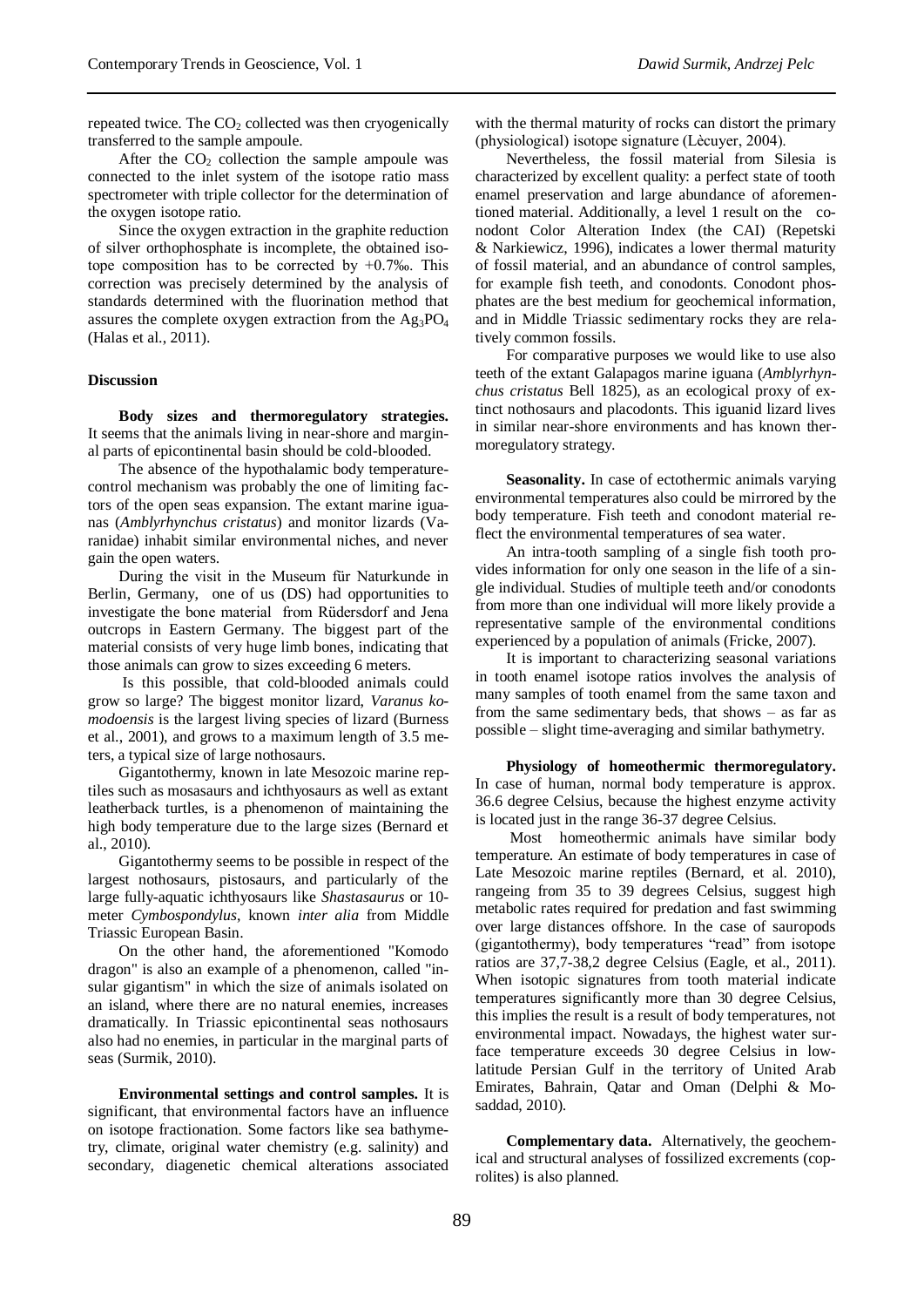repeated twice. The  $CO<sub>2</sub>$  collected was then cryogenically transferred to the sample ampoule.

After the  $CO<sub>2</sub>$  collection the sample ampoule was connected to the inlet system of the isotope ratio mass spectrometer with triple collector for the determination of the oxygen isotope ratio.

Since the oxygen extraction in the graphite reduction of silver orthophosphate is incomplete, the obtained isotope composition has to be corrected by  $+0.7\%$ . This correction was precisely determined by the analysis of standards determined with the fluorination method that assures the complete oxygen extraction from the  $Ag_3PO_4$ (Halas et al., 2011).

## **Discussion**

**Body sizes and thermoregulatory strategies.** It seems that the animals living in near-shore and marginal parts of epicontinental basin should be cold-blooded.

The absence of the hypothalamic body temperaturecontrol mechanism was probably the one of limiting factors of the open seas expansion. The extant marine iguanas (*Amblyrhynchus cristatus*) and monitor lizards (Varanidae) inhabit similar environmental niches, and never gain the open waters.

During the visit in the Museum für Naturkunde in Berlin, Germany, one of us (DS) had opportunities to investigate the bone material from Rüdersdorf and Jena outcrops in Eastern Germany. The biggest part of the material consists of very huge limb bones, indicating that those animals can grow to sizes exceeding 6 meters.

 Is this possible, that cold-blooded animals could grow so large? The biggest monitor lizard, *Varanus komodoensis* is the largest living species of lizard (Burness et al., 2001), and grows to a maximum length of 3.5 meters, a typical size of large nothosaurs.

Gigantothermy, known in late Mesozoic marine reptiles such as mosasaurs and ichthyosaurs as well as extant leatherback turtles, is a phenomenon of maintaining the high body temperature due to the large sizes (Bernard et al., 2010).

Gigantothermy seems to be possible in respect of the largest nothosaurs, pistosaurs, and particularly of the large fully-aquatic ichthyosaurs like *Shastasaurus* or 10 meter *Cymbospondylus*, known *inter alia* from Middle Triassic European Basin.

On the other hand, the aforementioned "Komodo dragon" is also an example of a phenomenon, called "insular gigantism" in which the size of animals isolated on an island, where there are no natural enemies, increases dramatically. In Triassic epicontinental seas nothosaurs also had no enemies, in particular in the marginal parts of seas (Surmik, 2010).

**Environmental settings and control samples.** It is significant, that environmental factors have an influence on isotope fractionation. Some factors like sea bathymetry, climate, original water chemistry (e.g. salinity) and secondary, diagenetic chemical alterations associated

with the thermal maturity of rocks can distort the primary (physiological) isotope signature (Lècuyer, 2004).

Nevertheless, the fossil material from Silesia is characterized by excellent quality: a perfect state of tooth enamel preservation and large abundance of aforementioned material. Additionally, a level 1 result on the conodont Color Alteration Index (the CAI) (Repetski & Narkiewicz, 1996), indicates a lower thermal maturity of fossil material, and an abundance of control samples, for example fish teeth, and conodonts. Conodont phosphates are the best medium for geochemical information, and in Middle Triassic sedimentary rocks they are relatively common fossils.

For comparative purposes we would like to use also teeth of the extant Galapagos marine iguana (*Amblyrhynchus cristatus* Bell 1825), as an ecological proxy of extinct nothosaurs and placodonts. This iguanid lizard lives in similar near-shore environments and has known thermoregulatory strategy.

**Seasonality.** In case of ectothermic animals varying environmental temperatures also could be mirrored by the body temperature. Fish teeth and conodont material reflect the environmental temperatures of sea water.

An intra-tooth sampling of a single fish tooth provides information for only one season in the life of a single individual. Studies of multiple teeth and/or conodonts from more than one individual will more likely provide a representative sample of the environmental conditions experienced by a population of animals (Fricke, 2007).

It is important to characterizing seasonal variations in tooth enamel isotope ratios involves the analysis of many samples of tooth enamel from the same taxon and from the same sedimentary beds, that shows – as far as possible – slight time-averaging and similar bathymetry.

**Physiology of homeothermic thermoregulatory.** In case of human, normal body temperature is approx. 36.6 degree Celsius, because the highest enzyme activity is located just in the range 36-37 degree Celsius.

 Most homeothermic animals have similar body temperature. An estimate of body temperatures in case of Late Mesozoic marine reptiles (Bernard, et al. 2010), rangeing from 35 to 39 degrees Celsius, suggest high metabolic rates required for predation and fast swimming over large distances offshore. In the case of sauropods (gigantothermy), body temperatures "read" from isotope ratios are 37,7-38,2 degree Celsius (Eagle, et al., 2011). When isotopic signatures from tooth material indicate temperatures significantly more than 30 degree Celsius, this implies the result is a result of body temperatures, not environmental impact. Nowadays, the highest water surface temperature exceeds 30 degree Celsius in lowlatitude Persian Gulf in the territory of United Arab Emirates, Bahrain, Qatar and Oman (Delphi & Mosaddad, 2010).

**Complementary data.** Alternatively, the geochemical and structural analyses of fossilized excrements (coprolites) is also planned.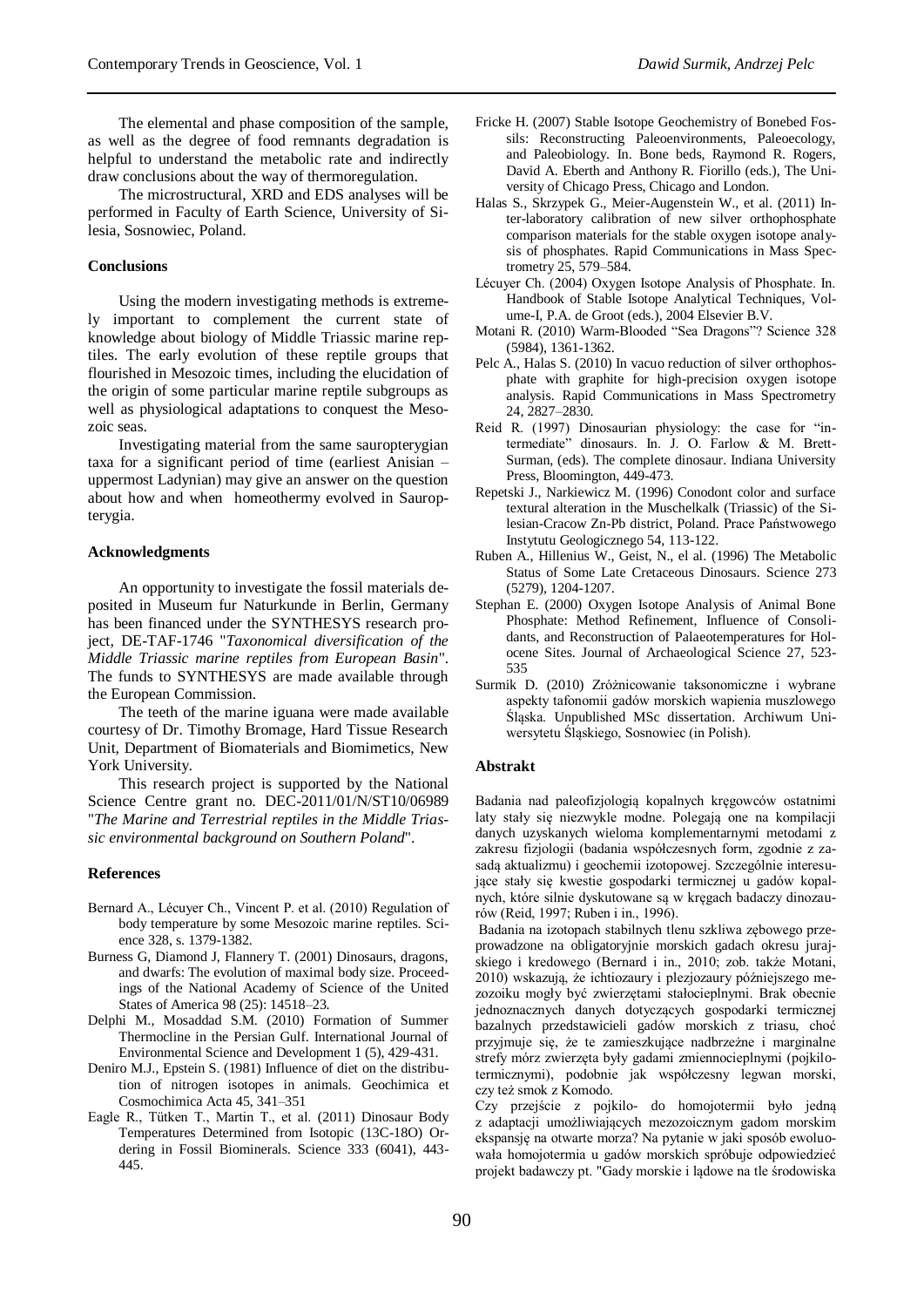The elemental and phase composition of the sample, as well as the degree of food remnants degradation is helpful to understand the metabolic rate and indirectly draw conclusions about the way of thermoregulation.

The microstructural, XRD and EDS analyses will be performed in Faculty of Earth Science, University of Silesia, Sosnowiec, Poland.

### **Conclusions**

Using the modern investigating methods is extremely important to complement the current state of knowledge about biology of Middle Triassic marine reptiles. The early evolution of these reptile groups that flourished in Mesozoic times, including the elucidation of the origin of some particular marine reptile subgroups as well as physiological adaptations to conquest the Mesozoic seas.

Investigating material from the same sauropterygian taxa for a significant period of time (earliest Anisian – uppermost Ladynian) may give an answer on the question about how and when homeothermy evolved in Sauropterygia.

### **Acknowledgments**

An opportunity to investigate the fossil materials deposited in Museum fur Naturkunde in Berlin, Germany has been financed under the SYNTHESYS research project, DE-TAF-1746 "*Taxonomical diversification of the Middle Triassic marine reptiles from European Basin*". The funds to SYNTHESYS are made available through the European Commission.

The teeth of the marine iguana were made available courtesy of Dr. Timothy Bromage, Hard Tissue Research Unit, Department of Biomaterials and Biomimetics, New York University.

This research project is supported by the National Science Centre grant no. DEC-2011/01/N/ST10/06989 "*The Marine and Terrestrial reptiles in the Middle Triassic environmental background on Southern Poland*".

#### **References**

- Bernard A., Lécuyer Ch., Vincent P. et al. (2010) Regulation of body temperature by some Mesozoic marine reptiles. Science 328, s. 1379-1382.
- Burness G, Diamond J, Flannery T. (2001) Dinosaurs, dragons, and dwarfs: The evolution of maximal body size. Proceedings of the National Academy of Science of the United States of America 98 (25): 14518–23.
- Delphi M., Mosaddad S.M. (2010) Formation of Summer Thermocline in the Persian Gulf. International Journal of Environmental Science and Development 1 (5), 429-431.
- Deniro M.J., Epstein S. (1981) Influence of diet on the distribution of nitrogen isotopes in animals. Geochimica et Cosmochimica Acta 45, 341–351
- Eagle R., Tütken T., Martin T., et al. (2011) Dinosaur Body Temperatures Determined from Isotopic (13C-18O) Ordering in Fossil Biominerals. Science 333 (6041), 443- 445.
- Fricke H. (2007) Stable Isotope Geochemistry of Bonebed Fossils: Reconstructing Paleoenvironments, Paleoecology, and Paleobiology. In. Bone beds, Raymond R. Rogers, David A. Eberth and Anthony R. Fiorillo (eds.), The University of Chicago Press, Chicago and London.
- Halas S., Skrzypek G., Meier-Augenstein W., et al. (2011) Inter-laboratory calibration of new silver orthophosphate comparison materials for the stable oxygen isotope analysis of phosphates. Rapid Communications in Mass Spectrometry 25, 579–584.
- Lécuyer Ch. (2004) Oxygen Isotope Analysis of Phosphate. In. Handbook of Stable Isotope Analytical Techniques, Volume-I, P.A. de Groot (eds.), 2004 Elsevier B.V.
- Motani R. (2010) Warm-Blooded "Sea Dragons"? Science 328 (5984), 1361-1362.
- Pelc A., Halas S. (2010) In vacuo reduction of silver orthophosphate with graphite for high-precision oxygen isotope analysis. Rapid Communications in Mass Spectrometry 24, 2827–2830.
- Reid R. (1997) Dinosaurian physiology: the case for "intermediate" dinosaurs. In. J. O. Farlow & M. Brett-Surman, (eds). The complete dinosaur. Indiana University Press, Bloomington, 449-473.
- Repetski J., Narkiewicz M. (1996) Conodont color and surface textural alteration in the Muschelkalk (Triassic) of the Silesian-Cracow Zn-Pb district, Poland. Prace Państwowego Instytutu Geologicznego 54, 113-122.
- Ruben A., Hillenius W., Geist, N., el al. (1996) The Metabolic Status of Some Late Cretaceous Dinosaurs. Science 273 (5279), 1204-1207.
- Stephan E. (2000) Oxygen Isotope Analysis of Animal Bone Phosphate: Method Refinement, Influence of Consolidants, and Reconstruction of Palaeotemperatures for Holocene Sites. Journal of Archaeological Science 27, 523- 535
- Surmik D. (2010) Zróżnicowanie taksonomiczne i wybrane aspekty tafonomii gadów morskich wapienia muszlowego Śląska. Unpublished MSc dissertation. Archiwum Uniwersytetu Śląskiego, Sosnowiec (in Polish).

#### **Abstrakt**

Badania nad paleofizjologią kopalnych kręgowców ostatnimi laty stały się niezwykle modne. Polegają one na kompilacji danych uzyskanych wieloma komplementarnymi metodami z zakresu fizjologii (badania współczesnych form, zgodnie z zasadą aktualizmu) i geochemii izotopowej. Szczególnie interesujące stały się kwestie gospodarki termicznej u gadów kopalnych, które silnie dyskutowane są w kręgach badaczy dinozaurów (Reid, 1997; Ruben i in., 1996).

Badania na izotopach stabilnych tlenu szkliwa zębowego przeprowadzone na obligatoryjnie morskich gadach okresu jurajskiego i kredowego (Bernard i in., 2010; zob. także Motani, 2010) wskazują, że ichtiozaury i plezjozaury późniejszego mezozoiku mogły być zwierzętami stałocieplnymi. Brak obecnie jednoznacznych danych dotyczących gospodarki termicznej bazalnych przedstawicieli gadów morskich z triasu, choć przyjmuje się, że te zamieszkujące nadbrzeżne i marginalne strefy mórz zwierzęta były gadami zmiennocieplnymi (pojkilotermicznymi), podobnie jak współczesny legwan morski, czy też smok z Komodo.

Czy przejście z pojkilo- do homojotermii było jedną z adaptacji umożliwiających mezozoicznym gadom morskim ekspansję na otwarte morza? Na pytanie w jaki sposób ewoluowała homojotermia u gadów morskich spróbuje odpowiedzieć projekt badawczy pt. "Gady morskie i lądowe na tle środowiska